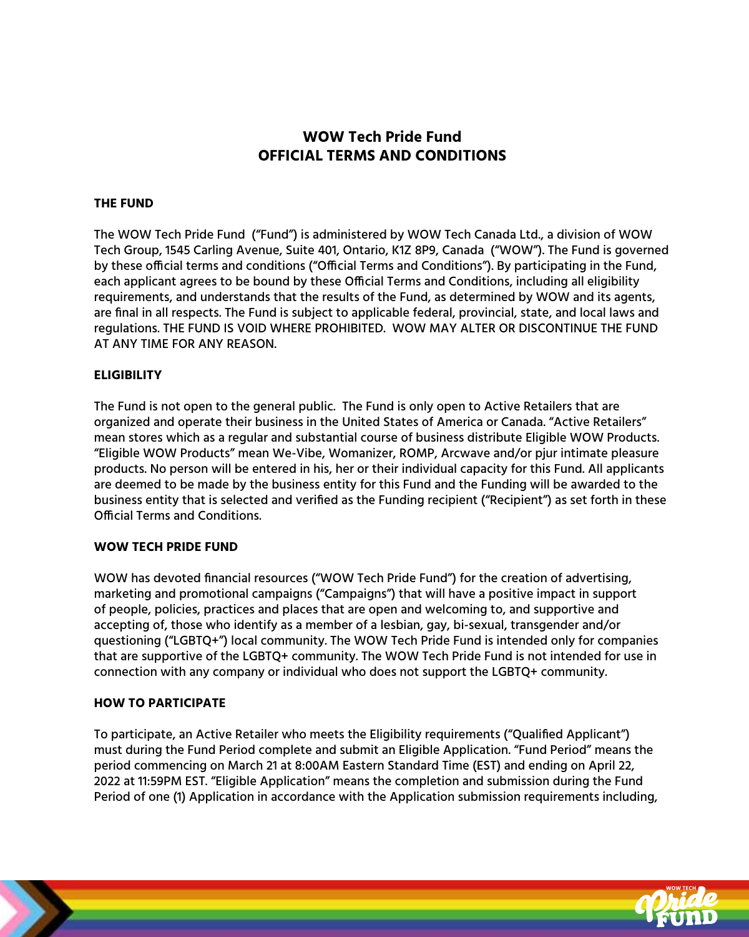# **WOW Tech Pride Fund OFFICIAL TERMS AND CONDITIONS**

### **THE FUND**

The WOW Tech Pride Fund ("Fund") is administered by WOW Tech Canada Ltd., a division of WOW Tech Group, 1545 Carling Avenue, Suite 401, Ontario, K1Z 8P9, Canada ("WOW"). The Fund is governed by these official terms and conditions ("Official Terms and Conditions"). By participating in the Fund, each applicant agrees to be bound by these Official Terms and Conditions, including all eligibility requirements, and understands that the results of the Fund, as determined by WOW and its agents, are final in all respects. The Fund is subject to applicable federal, provincial, state, and local laws and regulations. THE FUND IS VOID WHERE PROHIBITED. WOW MAY ALTER OR DISCONTINUE THE FUND AT ANY TIME FOR ANY REASON.

#### **ELIGIBILITY**

The Fund is not open to the general public. The Fund is only open to Active Retailers that are organized and operate their business in the United States of America or Canada. "Active Retailers" mean stores which as a regular and substantial course of business distribute Eligible WOW Products. "Eligible WOW Products" mean We-Vibe, Womanizer, ROMP, Arcwave and/or pjur intimate pleasure products. No person will be entered in his, her or their individual capacity for this Fund. All applicants are deemed to be made by the business entity for this Fund and the Funding will be awarded to the business entity that is selected and verified as the Funding recipient ("Recipient") as set forth in these Official Terms and Conditions.

#### **WOW TECH PRIDE FUND**

WOW has devoted financial resources ("WOW Tech Pride Fund") for the creation of advertising, marketing and promotional campaigns ("Campaigns") that will have a positive impact in support of people, policies, practices and places that are open and welcoming to, and supportive and accepting of, those who identify as a member of a lesbian, gay, bi-sexual, transgender and/or questioning ("LGBTQ+") local community. The WOW Tech Pride Fund is intended only for companies that are supportive of the LGBTQ+ community. The WOW Tech Pride Fund is not intended for use in connection with any company or individual who does not support the LGBTQ+ community.

#### **HOW TO PARTICIPATE**

To participate, an Active Retailer who meets the Eligibility requirements ("Qualified Applicant") must during the Fund Period complete and submit an Eligible Application. "Fund Period" means the period commencing on March 21 at 8:00AM Eastern Standard Time (EST) and ending on April 22, 2022 at 11:59PM EST. "Eligible Application" means the completion and submission during the Fund Period of one (1) Application in accordance with the Application submission requirements including,

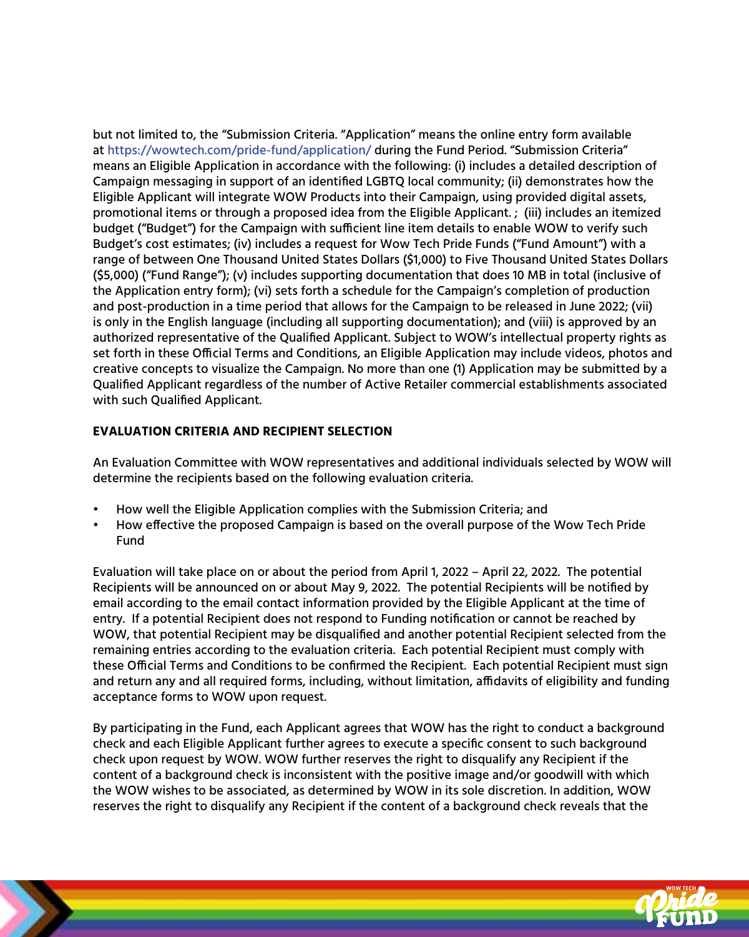but not limited to, the "Submission Criteria. "Application" means the online entry form available at<https://wowtech.com/pride-fund/application/>during the Fund Period. "Submission Criteria" means an Eligible Application in accordance with the following: (i) includes a detailed description of Campaign messaging in support of an identified LGBTQ local community; (ii) demonstrates how the Eligible Applicant will integrate WOW Products into their Campaign, using provided digital assets, promotional items or through a proposed idea from the Eligible Applicant. ; (iii) includes an itemized budget ("Budget") for the Campaign with sufficient line item details to enable WOW to verify such Budget's cost estimates; (iv) includes a request for Wow Tech Pride Funds ("Fund Amount") with a range of between One Thousand United States Dollars (\$1,000) to Five Thousand United States Dollars (\$5,000) ("Fund Range"); (v) includes supporting documentation that does 10 MB in total (inclusive of the Application entry form); (vi) sets forth a schedule for the Campaign's completion of production and post-production in a time period that allows for the Campaign to be released in June 2022; (vii) is only in the English language (including all supporting documentation); and (viii) is approved by an authorized representative of the Qualified Applicant. Subject to WOW's intellectual property rights as set forth in these Official Terms and Conditions, an Eligible Application may include videos, photos and creative concepts to visualize the Campaign. No more than one (1) Application may be submitted by a Qualified Applicant regardless of the number of Active Retailer commercial establishments associated with such Qualified Applicant.

## **EVALUATION CRITERIA AND RECIPIENT SELECTION**

An Evaluation Committee with WOW representatives and additional individuals selected by WOW will determine the recipients based on the following evaluation criteria.

- How well the Eligible Application complies with the Submission Criteria; and
- How effective the proposed Campaign is based on the overall purpose of the Wow Tech Pride Fund

Evaluation will take place on or about the period from April 1, 2022 – April 22, 2022. The potential Recipients will be announced on or about May 9, 2022. The potential Recipients will be notified by email according to the email contact information provided by the Eligible Applicant at the time of entry. If a potential Recipient does not respond to Funding notification or cannot be reached by WOW, that potential Recipient may be disqualified and another potential Recipient selected from the remaining entries according to the evaluation criteria. Each potential Recipient must comply with these Official Terms and Conditions to be confirmed the Recipient. Each potential Recipient must sign and return any and all required forms, including, without limitation, affidavits of eligibility and funding acceptance forms to WOW upon request.

By participating in the Fund, each Applicant agrees that WOW has the right to conduct a background check and each Eligible Applicant further agrees to execute a specific consent to such background check upon request by WOW. WOW further reserves the right to disqualify any Recipient if the content of a background check is inconsistent with the positive image and/or goodwill with which the WOW wishes to be associated, as determined by WOW in its sole discretion. In addition, WOW reserves the right to disqualify any Recipient if the content of a background check reveals that the

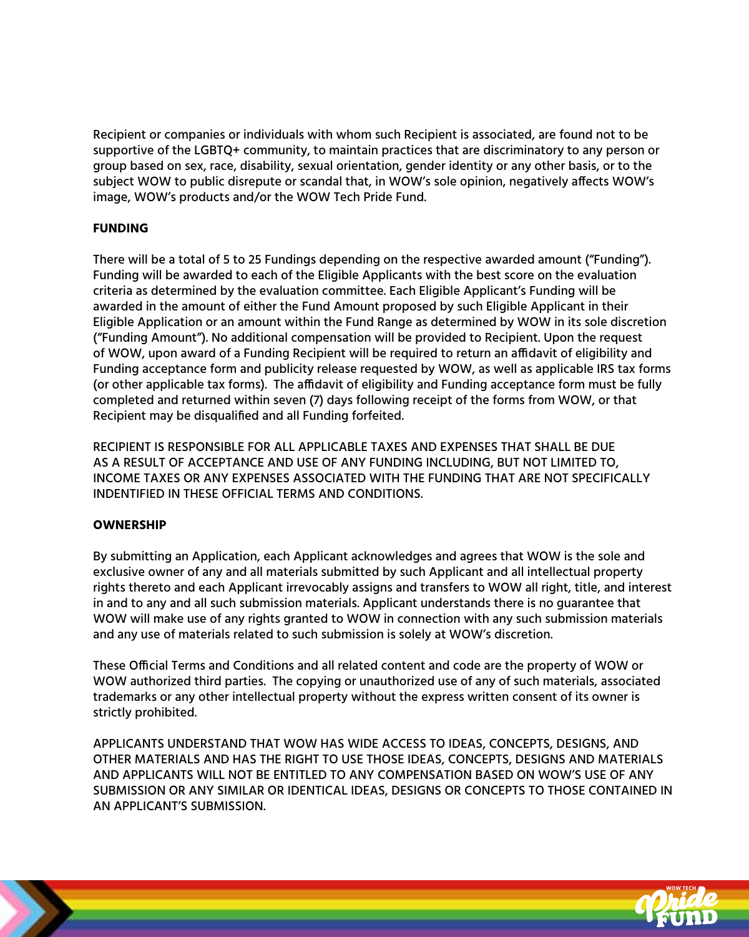Recipient or companies or individuals with whom such Recipient is associated, are found not to be supportive of the LGBTQ+ community, to maintain practices that are discriminatory to any person or group based on sex, race, disability, sexual orientation, gender identity or any other basis, or to the subject WOW to public disrepute or scandal that, in WOW's sole opinion, negatively affects WOW's image, WOW's products and/or the WOW Tech Pride Fund.

## **FUNDING**

There will be a total of 5 to 25 Fundings depending on the respective awarded amount ("Funding"). Funding will be awarded to each of the Eligible Applicants with the best score on the evaluation criteria as determined by the evaluation committee. Each Eligible Applicant's Funding will be awarded in the amount of either the Fund Amount proposed by such Eligible Applicant in their Eligible Application or an amount within the Fund Range as determined by WOW in its sole discretion ("Funding Amount"). No additional compensation will be provided to Recipient. Upon the request of WOW, upon award of a Funding Recipient will be required to return an affidavit of eligibility and Funding acceptance form and publicity release requested by WOW, as well as applicable IRS tax forms (or other applicable tax forms). The affidavit of eligibility and Funding acceptance form must be fully completed and returned within seven (7) days following receipt of the forms from WOW, or that Recipient may be disqualified and all Funding forfeited.

RECIPIENT IS RESPONSIBLE FOR ALL APPLICABLE TAXES AND EXPENSES THAT SHALL BE DUE AS A RESULT OF ACCEPTANCE AND USE OF ANY FUNDING INCLUDING, BUT NOT LIMITED TO, INCOME TAXES OR ANY EXPENSES ASSOCIATED WITH THE FUNDING THAT ARE NOT SPECIFICALLY INDENTIFIED IN THESE OFFICIAL TERMS AND CONDITIONS.

## **OWNERSHIP**

By submitting an Application, each Applicant acknowledges and agrees that WOW is the sole and exclusive owner of any and all materials submitted by such Applicant and all intellectual property rights thereto and each Applicant irrevocably assigns and transfers to WOW all right, title, and interest in and to any and all such submission materials. Applicant understands there is no guarantee that WOW will make use of any rights granted to WOW in connection with any such submission materials and any use of materials related to such submission is solely at WOW's discretion.

These Official Terms and Conditions and all related content and code are the property of WOW or WOW authorized third parties. The copying or unauthorized use of any of such materials, associated trademarks or any other intellectual property without the express written consent of its owner is strictly prohibited.

APPLICANTS UNDERSTAND THAT WOW HAS WIDE ACCESS TO IDEAS, CONCEPTS, DESIGNS, AND OTHER MATERIALS AND HAS THE RIGHT TO USE THOSE IDEAS, CONCEPTS, DESIGNS AND MATERIALS AND APPLICANTS WILL NOT BE ENTITLED TO ANY COMPENSATION BASED ON WOW'S USE OF ANY SUBMISSION OR ANY SIMILAR OR IDENTICAL IDEAS, DESIGNS OR CONCEPTS TO THOSE CONTAINED IN AN APPLICANT'S SUBMISSION.

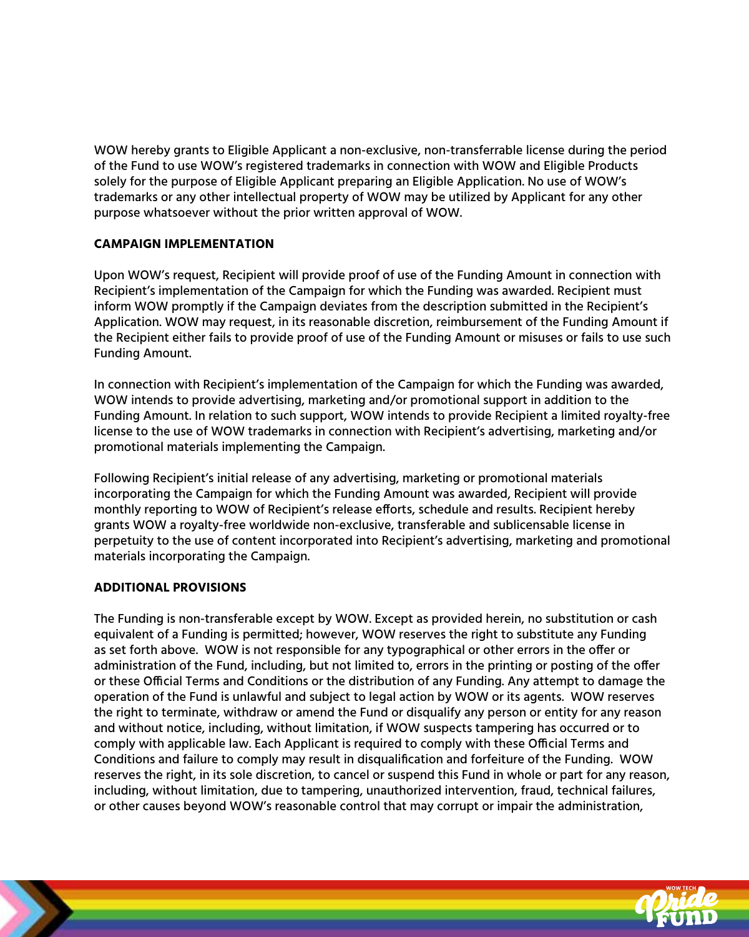WOW hereby grants to Eligible Applicant a non-exclusive, non-transferrable license during the period of the Fund to use WOW's registered trademarks in connection with WOW and Eligible Products solely for the purpose of Eligible Applicant preparing an Eligible Application. No use of WOW's trademarks or any other intellectual property of WOW may be utilized by Applicant for any other purpose whatsoever without the prior written approval of WOW.

## **CAMPAIGN IMPLEMENTATION**

Upon WOW's request, Recipient will provide proof of use of the Funding Amount in connection with Recipient's implementation of the Campaign for which the Funding was awarded. Recipient must inform WOW promptly if the Campaign deviates from the description submitted in the Recipient's Application. WOW may request, in its reasonable discretion, reimbursement of the Funding Amount if the Recipient either fails to provide proof of use of the Funding Amount or misuses or fails to use such Funding Amount.

In connection with Recipient's implementation of the Campaign for which the Funding was awarded, WOW intends to provide advertising, marketing and/or promotional support in addition to the Funding Amount. In relation to such support, WOW intends to provide Recipient a limited royalty-free license to the use of WOW trademarks in connection with Recipient's advertising, marketing and/or promotional materials implementing the Campaign.

Following Recipient's initial release of any advertising, marketing or promotional materials incorporating the Campaign for which the Funding Amount was awarded, Recipient will provide monthly reporting to WOW of Recipient's release efforts, schedule and results. Recipient hereby grants WOW a royalty-free worldwide non-exclusive, transferable and sublicensable license in perpetuity to the use of content incorporated into Recipient's advertising, marketing and promotional materials incorporating the Campaign.

#### **ADDITIONAL PROVISIONS**

The Funding is non-transferable except by WOW. Except as provided herein, no substitution or cash equivalent of a Funding is permitted; however, WOW reserves the right to substitute any Funding as set forth above. WOW is not responsible for any typographical or other errors in the offer or administration of the Fund, including, but not limited to, errors in the printing or posting of the offer or these Official Terms and Conditions or the distribution of any Funding. Any attempt to damage the operation of the Fund is unlawful and subject to legal action by WOW or its agents. WOW reserves the right to terminate, withdraw or amend the Fund or disqualify any person or entity for any reason and without notice, including, without limitation, if WOW suspects tampering has occurred or to comply with applicable law. Each Applicant is required to comply with these Official Terms and Conditions and failure to comply may result in disqualification and forfeiture of the Funding. WOW reserves the right, in its sole discretion, to cancel or suspend this Fund in whole or part for any reason, including, without limitation, due to tampering, unauthorized intervention, fraud, technical failures, or other causes beyond WOW's reasonable control that may corrupt or impair the administration,

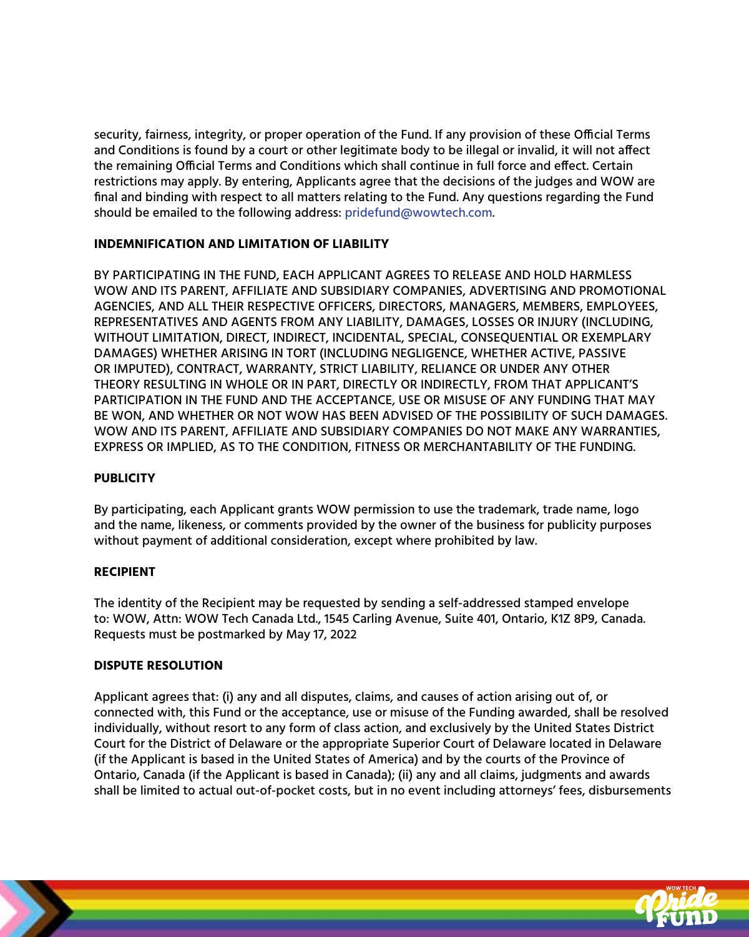security, fairness, integrity, or proper operation of the Fund. If any provision of these Official Terms and Conditions is found by a court or other legitimate body to be illegal or invalid, it will not affect the remaining Official Terms and Conditions which shall continue in full force and effect. Certain restrictions may apply. By entering, Applicants agree that the decisions of the judges and WOW are final and binding with respect to all matters relating to the Fund. Any questions regarding the Fund should be emailed to the following address: [pridefund@wowtech.com.](mailto: pridefund@wowtech.com) 

## **INDEMNIFICATION AND LIMITATION OF LIABILITY**

BY PARTICIPATING IN THE FUND, EACH APPLICANT AGREES TO RELEASE AND HOLD HARMLESS WOW AND ITS PARENT, AFFILIATE AND SUBSIDIARY COMPANIES, ADVERTISING AND PROMOTIONAL AGENCIES, AND ALL THEIR RESPECTIVE OFFICERS, DIRECTORS, MANAGERS, MEMBERS, EMPLOYEES, REPRESENTATIVES AND AGENTS FROM ANY LIABILITY, DAMAGES, LOSSES OR INJURY (INCLUDING, WITHOUT LIMITATION, DIRECT, INDIRECT, INCIDENTAL, SPECIAL, CONSEQUENTIAL OR EXEMPLARY DAMAGES) WHETHER ARISING IN TORT (INCLUDING NEGLIGENCE, WHETHER ACTIVE, PASSIVE OR IMPUTED), CONTRACT, WARRANTY, STRICT LIABILITY, RELIANCE OR UNDER ANY OTHER THEORY RESULTING IN WHOLE OR IN PART, DIRECTLY OR INDIRECTLY, FROM THAT APPLICANT'S PARTICIPATION IN THE FUND AND THE ACCEPTANCE, USE OR MISUSE OF ANY FUNDING THAT MAY BE WON, AND WHETHER OR NOT WOW HAS BEEN ADVISED OF THE POSSIBILITY OF SUCH DAMAGES. WOW AND ITS PARENT, AFFILIATE AND SUBSIDIARY COMPANIES DO NOT MAKE ANY WARRANTIES, EXPRESS OR IMPLIED, AS TO THE CONDITION, FITNESS OR MERCHANTABILITY OF THE FUNDING.

#### **PUBLICITY**

By participating, each Applicant grants WOW permission to use the trademark, trade name, logo and the name, likeness, or comments provided by the owner of the business for publicity purposes without payment of additional consideration, except where prohibited by law.

#### **RECIPIENT**

The identity of the Recipient may be requested by sending a self-addressed stamped envelope to: WOW, Attn: WOW Tech Canada Ltd., 1545 Carling Avenue, Suite 401, Ontario, K1Z 8P9, Canada. Requests must be postmarked by May 17, 2022

## **DISPUTE RESOLUTION**

Applicant agrees that: (i) any and all disputes, claims, and causes of action arising out of, or connected with, this Fund or the acceptance, use or misuse of the Funding awarded, shall be resolved individually, without resort to any form of class action, and exclusively by the United States District Court for the District of Delaware or the appropriate Superior Court of Delaware located in Delaware (if the Applicant is based in the United States of America) and by the courts of the Province of Ontario, Canada (if the Applicant is based in Canada); (ii) any and all claims, judgments and awards shall be limited to actual out-of-pocket costs, but in no event including attorneys' fees, disbursements